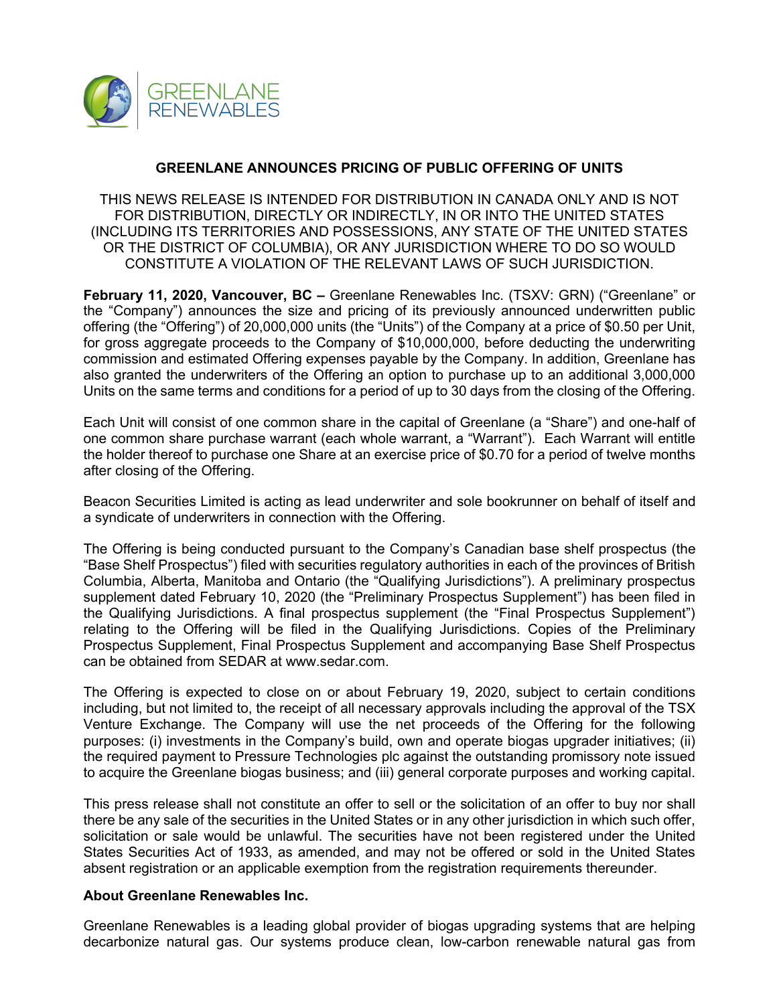

## **GREENLANE ANNOUNCES PRICING OF PUBLIC OFFERING OF UNITS**

THIS NEWS RELEASE IS INTENDED FOR DISTRIBUTION IN CANADA ONLY AND IS NOT FOR DISTRIBUTION, DIRECTLY OR INDIRECTLY, IN OR INTO THE UNITED STATES (INCLUDING ITS TERRITORIES AND POSSESSIONS, ANY STATE OF THE UNITED STATES OR THE DISTRICT OF COLUMBIA), OR ANY JURISDICTION WHERE TO DO SO WOULD CONSTITUTE A VIOLATION OF THE RELEVANT LAWS OF SUCH JURISDICTION.

**February 11, 2020, Vancouver, BC –** Greenlane Renewables Inc. (TSXV: GRN) ("Greenlane" or the "Company") announces the size and pricing of its previously announced underwritten public offering (the "Offering") of 20,000,000 units (the "Units") of the Company at a price of \$0.50 per Unit, for gross aggregate proceeds to the Company of \$10,000,000, before deducting the underwriting commission and estimated Offering expenses payable by the Company. In addition, Greenlane has also granted the underwriters of the Offering an option to purchase up to an additional 3,000,000 Units on the same terms and conditions for a period of up to 30 days from the closing of the Offering.

Each Unit will consist of one common share in the capital of Greenlane (a "Share") and one-half of one common share purchase warrant (each whole warrant, a "Warrant"). Each Warrant will entitle the holder thereof to purchase one Share at an exercise price of \$0.70 for a period of twelve months after closing of the Offering.

Beacon Securities Limited is acting as lead underwriter and sole bookrunner on behalf of itself and a syndicate of underwriters in connection with the Offering.

The Offering is being conducted pursuant to the Company's Canadian base shelf prospectus (the "Base Shelf Prospectus") filed with securities regulatory authorities in each of the provinces of British Columbia, Alberta, Manitoba and Ontario (the "Qualifying Jurisdictions"). A preliminary prospectus supplement dated February 10, 2020 (the "Preliminary Prospectus Supplement") has been filed in the Qualifying Jurisdictions. A final prospectus supplement (the "Final Prospectus Supplement") relating to the Offering will be filed in the Qualifying Jurisdictions. Copies of the Preliminary Prospectus Supplement, Final Prospectus Supplement and accompanying Base Shelf Prospectus can be obtained from SEDAR at www.sedar.com.

The Offering is expected to close on or about February 19, 2020, subject to certain conditions including, but not limited to, the receipt of all necessary approvals including the approval of the TSX Venture Exchange. The Company will use the net proceeds of the Offering for the following purposes: (i) investments in the Company's build, own and operate biogas upgrader initiatives; (ii) the required payment to Pressure Technologies plc against the outstanding promissory note issued to acquire the Greenlane biogas business; and (iii) general corporate purposes and working capital.

This press release shall not constitute an offer to sell or the solicitation of an offer to buy nor shall there be any sale of the securities in the United States or in any other jurisdiction in which such offer, solicitation or sale would be unlawful. The securities have not been registered under the United States Securities Act of 1933, as amended, and may not be offered or sold in the United States absent registration or an applicable exemption from the registration requirements thereunder.

## **About Greenlane Renewables Inc.**

Greenlane Renewables is a leading global provider of biogas upgrading systems that are helping decarbonize natural gas. Our systems produce clean, low-carbon renewable natural gas from